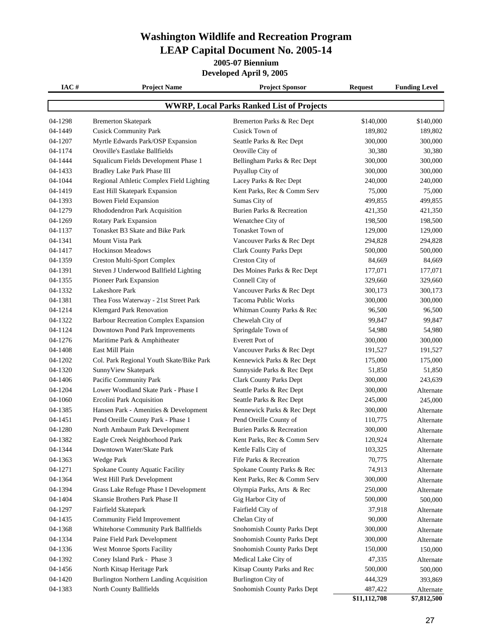#### **Washington Wildlife and Recreation Program LEAP Capital Document No. 2005-14**

**2005-07 Biennium**

**Developed April 9, 2005** 

| IAC#                                             | <b>Project Name</b>                         | <b>Project Sponsor</b>         | <b>Request</b> | <b>Funding Level</b> |  |
|--------------------------------------------------|---------------------------------------------|--------------------------------|----------------|----------------------|--|
| <b>WWRP, Local Parks Ranked List of Projects</b> |                                             |                                |                |                      |  |
| 04-1298                                          | <b>Bremerton Skatepark</b>                  | Bremerton Parks & Rec Dept     | \$140,000      | \$140,000            |  |
| 04-1449                                          | <b>Cusick Community Park</b>                | Cusick Town of                 | 189,802        | 189,802              |  |
| 04-1207                                          | Myrtle Edwards Park/OSP Expansion           | Seattle Parks & Rec Dept       | 300,000        | 300,000              |  |
| 04-1174                                          | Oroville's Eastlake Ballfields              | Oroville City of               | 30,380         | 30,380               |  |
| 04-1444                                          | Squalicum Fields Development Phase 1        | Bellingham Parks & Rec Dept    | 300,000        | 300,000              |  |
| 04-1433                                          | Bradley Lake Park Phase III                 | Puyallup City of               | 300,000        | 300,000              |  |
| 04-1044                                          | Regional Athletic Complex Field Lighting    | Lacey Parks & Rec Dept         | 240,000        | 240,000              |  |
| 04-1419                                          | East Hill Skatepark Expansion               | Kent Parks, Rec & Comm Serv    | 75,000         | 75,000               |  |
| 04-1393                                          | Bowen Field Expansion                       | Sumas City of                  | 499,855        | 499,855              |  |
| 04-1279                                          | Rhododendron Park Acquisition               | Burien Parks & Recreation      | 421,350        | 421,350              |  |
| 04-1269                                          | Rotary Park Expansion                       | Wenatchee City of              | 198,500        | 198,500              |  |
| 04-1137                                          | Tonasket B3 Skate and Bike Park             | Tonasket Town of               | 129,000        | 129,000              |  |
| 04-1341                                          | <b>Mount Vista Park</b>                     | Vancouver Parks & Rec Dept     | 294,828        | 294,828              |  |
| 04-1417                                          | <b>Hockinson Meadows</b>                    | Clark County Parks Dept        | 500,000        | 500,000              |  |
| 04-1359                                          | <b>Creston Multi-Sport Complex</b>          | Creston City of                | 84,669         | 84,669               |  |
| 04-1391                                          | Steven J Underwood Ballfield Lighting       | Des Moines Parks & Rec Dept    | 177,071        | 177,071              |  |
| 04-1355                                          | Pioneer Park Expansion                      | Connell City of                | 329,660        | 329,660              |  |
| 04-1332                                          | Lakeshore Park                              | Vancouver Parks & Rec Dept     | 300,173        | 300,173              |  |
| 04-1381                                          | Thea Foss Waterway - 21st Street Park       | <b>Tacoma Public Works</b>     | 300,000        | 300,000              |  |
| 04-1214                                          | Klemgard Park Renovation                    | Whitman County Parks & Rec     | 96,500         | 96,500               |  |
| 04-1322                                          | <b>Barbour Recreation Complex Expansion</b> | Chewelah City of               | 99,847         | 99,847               |  |
| 04-1124                                          | Downtown Pond Park Improvements             | Springdale Town of             | 54,980         | 54,980               |  |
| 04-1276                                          | Maritime Park & Amphitheater                | Everett Port of                | 300,000        | 300,000              |  |
| 04-1408                                          | East Mill Plain                             | Vancouver Parks & Rec Dept     | 191,527        | 191,527              |  |
| 04-1202                                          | Col. Park Regional Youth Skate/Bike Park    | Kennewick Parks & Rec Dept     | 175,000        | 175,000              |  |
| 04-1320                                          | SunnyView Skatepark                         | Sunnyside Parks & Rec Dept     | 51,850         | 51,850               |  |
| 04-1406                                          | Pacific Community Park                      | <b>Clark County Parks Dept</b> | 300,000        | 243,639              |  |
| 04-1204                                          | Lower Woodland Skate Park - Phase I         | Seattle Parks & Rec Dept       | 300,000        | Alternate            |  |
| 04-1060                                          | Ercolini Park Acquisition                   | Seattle Parks & Rec Dept       | 245,000        | 245,000              |  |
| 04-1385                                          | Hansen Park - Amenities & Development       | Kennewick Parks & Rec Dept     | 300,000        | Alternate            |  |
| 04-1451                                          | Pend Oreille County Park - Phase 1          | Pend Oreille County of         | 110,775        | Alternate            |  |
| 04-1280                                          | North Ambaum Park Development               | Burien Parks & Recreation      | 300,000        | Alternate            |  |
| 04-1382                                          | Eagle Creek Neighborhood Park               | Kent Parks, Rec & Comm Serv    | 120,924        | Alternate            |  |
| 04-1344                                          | Downtown Water/Skate Park                   | Kettle Falls City of           | 103,325        | Alternate            |  |
| 04-1363                                          | Wedge Park                                  | Fife Parks & Recreation        | 70,775         | Alternate            |  |
| 04-1271                                          | Spokane County Aquatic Facility             | Spokane County Parks & Rec     | 74,913         | Alternate            |  |
| 04-1364                                          | West Hill Park Development                  | Kent Parks, Rec & Comm Serv    | 300,000        | Alternate            |  |
| 04-1394                                          | Grass Lake Refuge Phase I Development       | Olympia Parks, Arts & Rec      | 250,000        | Alternate            |  |
| 04-1404                                          | Skansie Brothers Park Phase II              | Gig Harbor City of             | 500,000        | 500,000              |  |
| 04-1297                                          | Fairfield Skatepark                         | Fairfield City of              | 37,918         | Alternate            |  |
| 04-1435                                          | Community Field Improvement                 | Chelan City of                 | 90,000         | Alternate            |  |
| 04-1368                                          | Whitehorse Community Park Ballfields        | Snohomish County Parks Dept    | 300,000        | Alternate            |  |
| 04-1334                                          | Paine Field Park Development                | Snohomish County Parks Dept    | 300,000        | Alternate            |  |
| 04-1336                                          | West Monroe Sports Facility                 | Snohomish County Parks Dept    | 150,000        | 150,000              |  |
| 04-1392                                          | Coney Island Park - Phase 3                 | Medical Lake City of           | 47,335         | Alternate            |  |
| 04-1456                                          | North Kitsap Heritage Park                  | Kitsap County Parks and Rec    | 500,000        | 500,000              |  |
| $04 - 1420$                                      | Burlington Northern Landing Acquisition     | Burlington City of             | 444,329        | 393,869              |  |
| 04-1383                                          | North County Ballfields                     | Snohomish County Parks Dept    | 487,422        | Alternate            |  |
|                                                  |                                             |                                | \$11,112,708   | \$7,812,500          |  |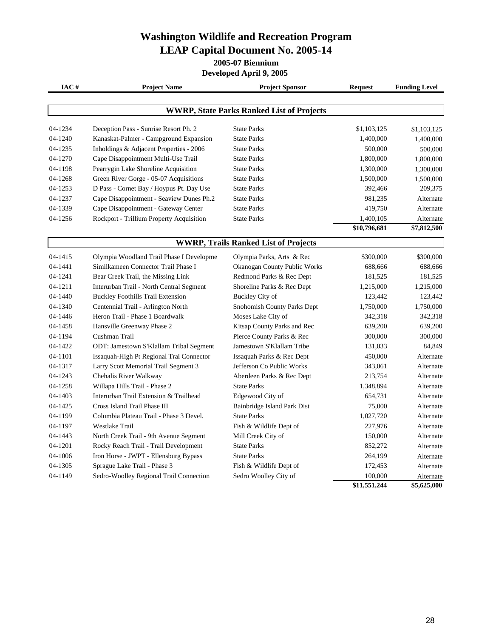## **Washington Wildlife and Recreation Program LEAP Capital Document No. 2005-14**

**2005-07 Biennium**

**Developed April 9, 2005** 

| IAC#                                             | <b>Project Name</b>                      | <b>Project Sponsor</b>                      | <b>Request</b> | <b>Funding Level</b> |  |
|--------------------------------------------------|------------------------------------------|---------------------------------------------|----------------|----------------------|--|
|                                                  |                                          |                                             |                |                      |  |
| <b>WWRP, State Parks Ranked List of Projects</b> |                                          |                                             |                |                      |  |
| 04-1234                                          | Deception Pass - Sunrise Resort Ph. 2    | <b>State Parks</b>                          | \$1,103,125    | \$1,103,125          |  |
| 04-1240                                          | Kanaskat-Palmer - Campground Expansion   | <b>State Parks</b>                          | 1,400,000      | 1,400,000            |  |
| 04-1235                                          | Inholdings & Adjacent Properties - 2006  | <b>State Parks</b>                          | 500,000        | 500,000              |  |
| 04-1270                                          | Cape Disappointment Multi-Use Trail      | <b>State Parks</b>                          | 1,800,000      | 1,800,000            |  |
| 04-1198                                          | Pearrygin Lake Shoreline Acquisition     | <b>State Parks</b>                          | 1,300,000      | 1,300,000            |  |
| 04-1268                                          | Green River Gorge - 05-07 Acquisitions   | <b>State Parks</b>                          | 1,500,000      | 1,500,000            |  |
| 04-1253                                          | D Pass - Cornet Bay / Hoypus Pt. Day Use | <b>State Parks</b>                          | 392,466        | 209,375              |  |
| 04-1237                                          | Cape Disappointment - Seaview Dunes Ph.2 | <b>State Parks</b>                          | 981,235        | Alternate            |  |
| 04-1339                                          | Cape Disappointment - Gateway Center     | <b>State Parks</b>                          | 419,750        | Alternate            |  |
| 04-1256                                          | Rockport - Trillium Property Acquisition | <b>State Parks</b>                          | 1,400,105      | Alternate            |  |
|                                                  |                                          |                                             | \$10,796,681   | \$7,812,500          |  |
|                                                  |                                          | <b>WWRP, Trails Ranked List of Projects</b> |                |                      |  |
| 04-1415                                          | Olympia Woodland Trail Phase I Developme | Olympia Parks, Arts & Rec                   | \$300,000      | \$300,000            |  |
| 04-1441                                          | Similkameen Connector Trail Phase I      | Okanogan County Public Works                | 688,666        | 688,666              |  |
| 04-1241                                          | Bear Creek Trail, the Missing Link       | Redmond Parks & Rec Dept                    | 181,525        | 181,525              |  |
| 04-1211                                          | Interurban Trail - North Central Segment | Shoreline Parks & Rec Dept                  | 1,215,000      | 1,215,000            |  |
| 04-1440                                          | <b>Buckley Foothills Trail Extension</b> | Buckley City of                             | 123,442        | 123,442              |  |
| 04-1340                                          | Centennial Trail - Arlington North       | Snohomish County Parks Dept                 | 1,750,000      | 1,750,000            |  |
| 04-1446                                          | Heron Trail - Phase 1 Boardwalk          | Moses Lake City of                          | 342,318        | 342,318              |  |
| 04-1458                                          | Hansville Greenway Phase 2               | Kitsap County Parks and Rec                 | 639,200        | 639,200              |  |
| 04-1194                                          | Cushman Trail                            | Pierce County Parks & Rec                   | 300,000        | 300,000              |  |
| 04-1422                                          | ODT: Jamestown S'Klallam Tribal Segment  | Jamestown S'Klallam Tribe                   | 131,033        | 84,849               |  |
| 04-1101                                          | Issaquah-High Pt Regional Trai Connector | Issaquah Parks & Rec Dept                   | 450,000        | Alternate            |  |
| 04-1317                                          | Larry Scott Memorial Trail Segment 3     | Jefferson Co Public Works                   | 343,061        | Alternate            |  |
| 04-1243                                          | Chehalis River Walkway                   | Aberdeen Parks & Rec Dept                   | 213,754        | Alternate            |  |
| 04-1258                                          | Willapa Hills Trail - Phase 2            | <b>State Parks</b>                          | 1,348,894      | Alternate            |  |
| 04-1403                                          | Interurban Trail Extension & Trailhead   | Edgewood City of                            | 654,731        | Alternate            |  |
| 04-1425                                          | Cross Island Trail Phase III             | Bainbridge Island Park Dist                 | 75,000         | Alternate            |  |
| 04-1199                                          | Columbia Plateau Trail - Phase 3 Devel.  | <b>State Parks</b>                          | 1,027,720      | Alternate            |  |
| 04-1197                                          | Westlake Trail                           | Fish & Wildlife Dept of                     | 227,976        | Alternate            |  |
| 04-1443                                          | North Creek Trail - 9th Avenue Segment   | Mill Creek City of                          | 150,000        | Alternate            |  |
| 04-1201                                          | Rocky Reach Trail - Trail Development    | <b>State Parks</b>                          | 852,272        | Alternate            |  |
| 04-1006                                          | Iron Horse - JWPT - Ellensburg Bypass    | <b>State Parks</b>                          | 264,199        | Alternate            |  |
| 04-1305                                          | Sprague Lake Trail - Phase 3             | Fish & Wildlife Dept of                     | 172,453        | Alternate            |  |
| 04-1149                                          | Sedro-Woolley Regional Trail Connection  | Sedro Woolley City of                       | 100,000        | Alternate            |  |

**\$11,551,244 \$5,625,000**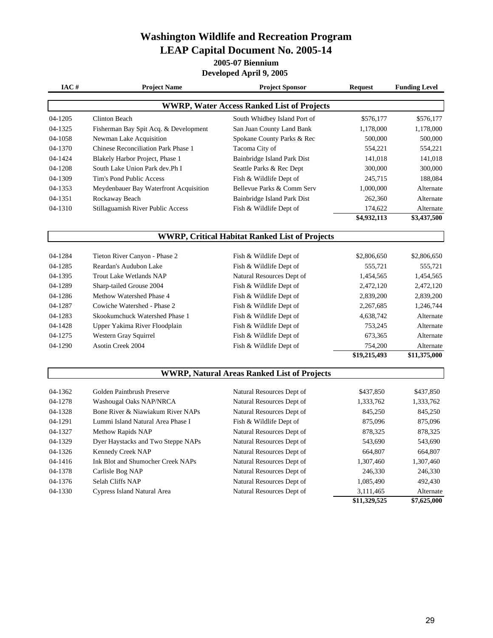## **Washington Wildlife and Recreation Program LEAP Capital Document No. 2005-14**

**2005-07 Biennium**

**Developed April 9, 2005** 

| IAC#                                               | <b>Project Name</b>                                   | <b>Project Sponsor</b>                            | <b>Request</b> | <b>Funding Level</b> |  |  |
|----------------------------------------------------|-------------------------------------------------------|---------------------------------------------------|----------------|----------------------|--|--|
|                                                    |                                                       | <b>WWRP, Water Access Ranked List of Projects</b> |                |                      |  |  |
| 04-1205                                            | <b>Clinton Beach</b>                                  | South Whidbey Island Port of                      | \$576,177      | \$576,177            |  |  |
| 04-1325                                            | Fisherman Bay Spit Acq. & Development                 | San Juan County Land Bank                         | 1,178,000      | 1,178,000            |  |  |
| 04-1058                                            | Newman Lake Acquisition                               | Spokane County Parks & Rec                        | 500,000        | 500,000              |  |  |
| 04-1370                                            | Chinese Reconciliation Park Phase 1                   | Tacoma City of                                    | 554,221        | 554,221              |  |  |
| 04-1424                                            | Blakely Harbor Project, Phase 1                       | Bainbridge Island Park Dist                       | 141,018        | 141,018              |  |  |
| 04-1208                                            | South Lake Union Park dev.Ph I                        | Seattle Parks & Rec Dept                          | 300,000        | 300,000              |  |  |
| 04-1309                                            | Tim's Pond Public Access                              | Fish & Wildlife Dept of                           | 245,715        | 188,084              |  |  |
| 04-1353                                            | Meydenbauer Bay Waterfront Acquisition                | Bellevue Parks & Comm Serv                        | 1,000,000      | Alternate            |  |  |
| 04-1351                                            | Rockaway Beach                                        | Bainbridge Island Park Dist                       | 262,360        | Alternate            |  |  |
| 04-1310                                            | Stillaguamish River Public Access                     | Fish & Wildlife Dept of                           | 174,622        | Alternate            |  |  |
|                                                    |                                                       |                                                   | \$4,932,113    | \$3,437,500          |  |  |
|                                                    | <b>WWRP, Critical Habitat Ranked List of Projects</b> |                                                   |                |                      |  |  |
| 04-1284                                            | Tieton River Canyon - Phase 2                         | Fish & Wildlife Dept of                           | \$2,806,650    | \$2,806,650          |  |  |
| 04-1285                                            | Reardan's Audubon Lake                                | Fish & Wildlife Dept of                           | 555,721        | 555,721              |  |  |
| 04-1395                                            | Trout Lake Wetlands NAP                               | Natural Resources Dept of                         | 1,454,565      | 1,454,565            |  |  |
| 04-1289                                            | Sharp-tailed Grouse 2004                              | Fish & Wildlife Dept of                           | 2,472,120      | 2,472,120            |  |  |
| 04-1286                                            | Methow Watershed Phase 4                              | Fish & Wildlife Dept of                           | 2,839,200      | 2,839,200            |  |  |
| 04-1287                                            | Cowiche Watershed - Phase 2                           | Fish & Wildlife Dept of                           | 2,267,685      | 1,246,744            |  |  |
| 04-1283                                            | Skookumchuck Watershed Phase 1                        | Fish & Wildlife Dept of                           | 4,638,742      | Alternate            |  |  |
| 04-1428                                            | Upper Yakima River Floodplain                         | Fish & Wildlife Dept of                           | 753,245        | Alternate            |  |  |
| 04-1275                                            | Western Gray Squirrel                                 | Fish & Wildlife Dept of                           | 673,365        | Alternate            |  |  |
| 04-1290                                            | <b>Asotin Creek 2004</b>                              | Fish & Wildlife Dept of                           | 754,200        | Alternate            |  |  |
|                                                    |                                                       |                                                   | \$19,215,493   | \$11,375,000         |  |  |
| <b>WWRP, Natural Areas Ranked List of Projects</b> |                                                       |                                                   |                |                      |  |  |
| 04-1362                                            | Golden Paintbrush Preserve                            | Natural Resources Dept of                         | \$437,850      | \$437,850            |  |  |
| 04-1278                                            | Washougal Oaks NAP/NRCA                               | Natural Resources Dept of                         | 1,333,762      | 1,333,762            |  |  |
| 04-1328                                            | Bone River & Niawiakum River NAPs                     | Natural Resources Dept of                         | 845,250        | 845,250              |  |  |
| 04-1291                                            | Lummi Island Natural Area Phase I                     | Fish & Wildlife Dept of                           | 875,096        | 875,096              |  |  |
| 04-1327                                            | Methow Rapids NAP                                     | Natural Resources Dept of                         | 878,325        | 878,325              |  |  |
| 04-1329                                            | Dyer Haystacks and Two Steppe NAPs                    | Natural Resources Dept of                         | 543,690        | 543,690              |  |  |
| 04-1326                                            | Kennedy Creek NAP                                     | Natural Resources Dept of                         | 664,807        | 664,807              |  |  |
| 04-1416                                            | Ink Blot and Shumocher Creek NAPs                     | Natural Resources Dept of                         | 1,307,460      | 1,307,460            |  |  |
| 04-1378                                            | Carlisle Bog NAP                                      | Natural Resources Dept of                         | 246,330        | 246,330              |  |  |
| 04-1376                                            | Selah Cliffs NAP                                      | Natural Resources Dept of                         | 1,085,490      | 492,430              |  |  |
| 04-1330                                            | Cypress Island Natural Area                           | Natural Resources Dept of                         | 3,111,465      | Alternate            |  |  |
|                                                    |                                                       |                                                   | \$11,329,525   | \$7,625,000          |  |  |